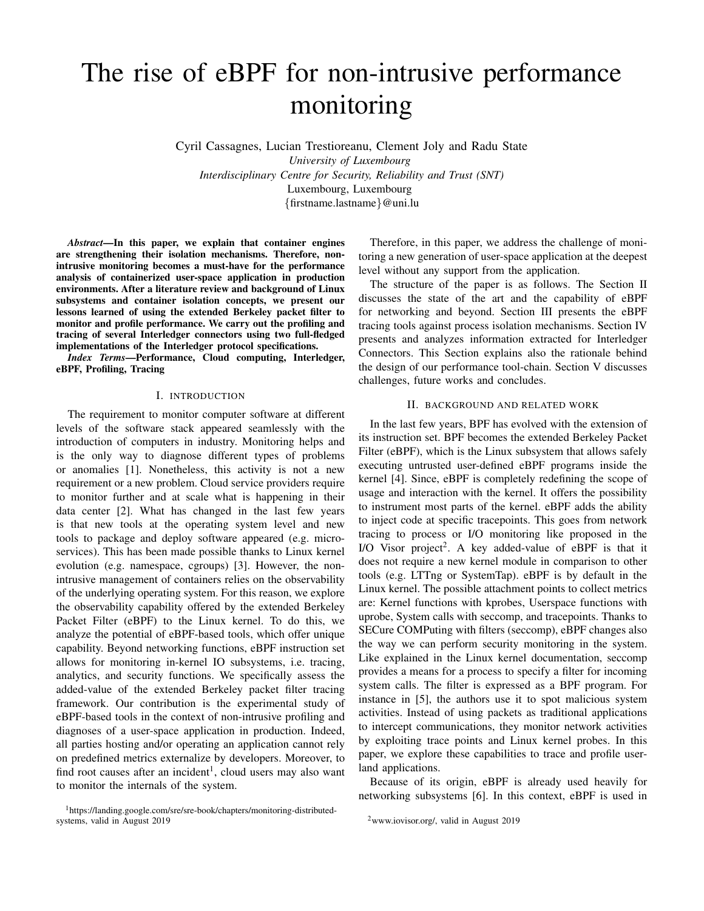# The rise of eBPF for non-intrusive performance monitoring

Cyril Cassagnes, Lucian Trestioreanu, Clement Joly and Radu State *University of Luxembourg Interdisciplinary Centre for Security, Reliability and Trust (SNT)* Luxembourg, Luxembourg {firstname.lastname}@uni.lu

*Abstract*—In this paper, we explain that container engines are strengthening their isolation mechanisms. Therefore, nonintrusive monitoring becomes a must-have for the performance analysis of containerized user-space application in production environments. After a literature review and background of Linux subsystems and container isolation concepts, we present our lessons learned of using the extended Berkeley packet filter to monitor and profile performance. We carry out the profiling and tracing of several Interledger connectors using two full-fledged implementations of the Interledger protocol specifications.

*Index Terms*—Performance, Cloud computing, Interledger, eBPF, Profiling, Tracing

#### I. INTRODUCTION

The requirement to monitor computer software at different levels of the software stack appeared seamlessly with the introduction of computers in industry. Monitoring helps and is the only way to diagnose different types of problems or anomalies [1]. Nonetheless, this activity is not a new requirement or a new problem. Cloud service providers require to monitor further and at scale what is happening in their data center [2]. What has changed in the last few years is that new tools at the operating system level and new tools to package and deploy software appeared (e.g. microservices). This has been made possible thanks to Linux kernel evolution (e.g. namespace, cgroups) [3]. However, the nonintrusive management of containers relies on the observability of the underlying operating system. For this reason, we explore the observability capability offered by the extended Berkeley Packet Filter (eBPF) to the Linux kernel. To do this, we analyze the potential of eBPF-based tools, which offer unique capability. Beyond networking functions, eBPF instruction set allows for monitoring in-kernel IO subsystems, i.e. tracing, analytics, and security functions. We specifically assess the added-value of the extended Berkeley packet filter tracing framework. Our contribution is the experimental study of eBPF-based tools in the context of non-intrusive profiling and diagnoses of a user-space application in production. Indeed, all parties hosting and/or operating an application cannot rely on predefined metrics externalize by developers. Moreover, to find root causes after an incident<sup>1</sup>, cloud users may also want to monitor the internals of the system.

Therefore, in this paper, we address the challenge of monitoring a new generation of user-space application at the deepest level without any support from the application.

The structure of the paper is as follows. The Section II discusses the state of the art and the capability of eBPF for networking and beyond. Section III presents the eBPF tracing tools against process isolation mechanisms. Section IV presents and analyzes information extracted for Interledger Connectors. This Section explains also the rationale behind the design of our performance tool-chain. Section V discusses challenges, future works and concludes.

## II. BACKGROUND AND RELATED WORK

In the last few years, BPF has evolved with the extension of its instruction set. BPF becomes the extended Berkeley Packet Filter (eBPF), which is the Linux subsystem that allows safely executing untrusted user-defined eBPF programs inside the kernel [4]. Since, eBPF is completely redefining the scope of usage and interaction with the kernel. It offers the possibility to instrument most parts of the kernel. eBPF adds the ability to inject code at specific tracepoints. This goes from network tracing to process or I/O monitoring like proposed in the I/O Visor project<sup>2</sup>. A key added-value of eBPF is that it does not require a new kernel module in comparison to other tools (e.g. LTTng or SystemTap). eBPF is by default in the Linux kernel. The possible attachment points to collect metrics are: Kernel functions with kprobes, Userspace functions with uprobe, System calls with seccomp, and tracepoints. Thanks to SECure COMPuting with filters (seccomp), eBPF changes also the way we can perform security monitoring in the system. Like explained in the Linux kernel documentation, seccomp provides a means for a process to specify a filter for incoming system calls. The filter is expressed as a BPF program. For instance in [5], the authors use it to spot malicious system activities. Instead of using packets as traditional applications to intercept communications, they monitor network activities by exploiting trace points and Linux kernel probes. In this paper, we explore these capabilities to trace and profile userland applications.

Because of its origin, eBPF is already used heavily for networking subsystems [6]. In this context, eBPF is used in

<sup>1</sup>https://landing.google.com/sre/sre-book/chapters/monitoring-distributedsystems, valid in August 2019

<sup>2</sup>www.iovisor.org/, valid in August 2019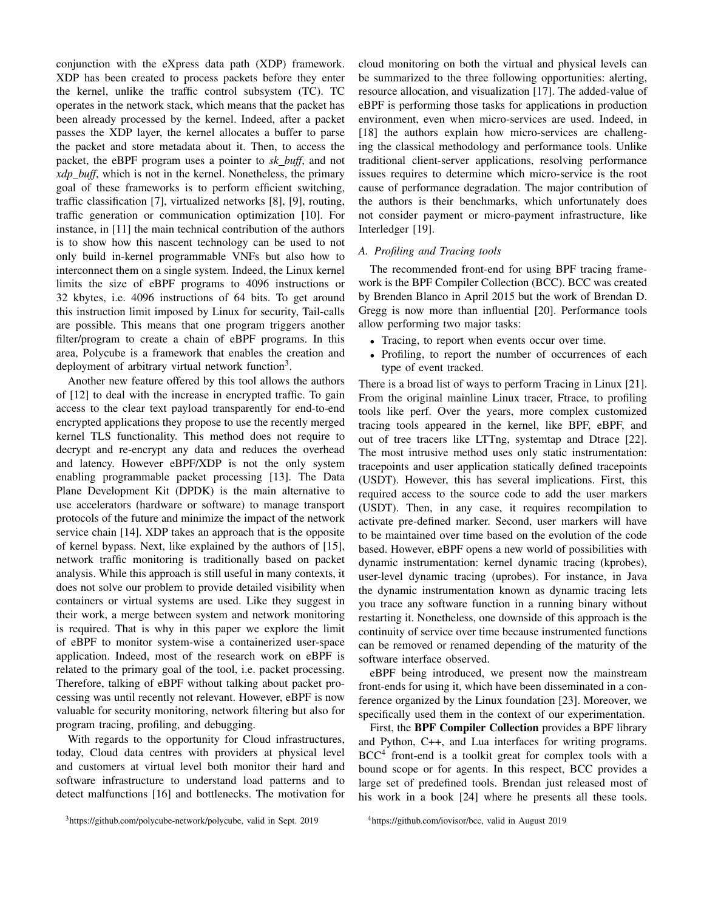conjunction with the eXpress data path (XDP) framework. XDP has been created to process packets before they enter the kernel, unlike the traffic control subsystem (TC). TC operates in the network stack, which means that the packet has been already processed by the kernel. Indeed, after a packet passes the XDP layer, the kernel allocates a buffer to parse the packet and store metadata about it. Then, to access the packet, the eBPF program uses a pointer to *sk buff*, and not *xdp buff*, which is not in the kernel. Nonetheless, the primary goal of these frameworks is to perform efficient switching, traffic classification [7], virtualized networks [8], [9], routing, traffic generation or communication optimization [10]. For instance, in [11] the main technical contribution of the authors is to show how this nascent technology can be used to not only build in-kernel programmable VNFs but also how to interconnect them on a single system. Indeed, the Linux kernel limits the size of eBPF programs to 4096 instructions or 32 kbytes, i.e. 4096 instructions of 64 bits. To get around this instruction limit imposed by Linux for security, Tail-calls are possible. This means that one program triggers another filter/program to create a chain of eBPF programs. In this area, Polycube is a framework that enables the creation and deployment of arbitrary virtual network function<sup>3</sup>.

Another new feature offered by this tool allows the authors of [12] to deal with the increase in encrypted traffic. To gain access to the clear text payload transparently for end-to-end encrypted applications they propose to use the recently merged kernel TLS functionality. This method does not require to decrypt and re-encrypt any data and reduces the overhead and latency. However eBPF/XDP is not the only system enabling programmable packet processing [13]. The Data Plane Development Kit (DPDK) is the main alternative to use accelerators (hardware or software) to manage transport protocols of the future and minimize the impact of the network service chain [14]. XDP takes an approach that is the opposite of kernel bypass. Next, like explained by the authors of [15], network traffic monitoring is traditionally based on packet analysis. While this approach is still useful in many contexts, it does not solve our problem to provide detailed visibility when containers or virtual systems are used. Like they suggest in their work, a merge between system and network monitoring is required. That is why in this paper we explore the limit of eBPF to monitor system-wise a containerized user-space application. Indeed, most of the research work on eBPF is related to the primary goal of the tool, i.e. packet processing. Therefore, talking of eBPF without talking about packet processing was until recently not relevant. However, eBPF is now valuable for security monitoring, network filtering but also for program tracing, profiling, and debugging.

With regards to the opportunity for Cloud infrastructures, today, Cloud data centres with providers at physical level and customers at virtual level both monitor their hard and software infrastructure to understand load patterns and to detect malfunctions [16] and bottlenecks. The motivation for cloud monitoring on both the virtual and physical levels can be summarized to the three following opportunities: alerting, resource allocation, and visualization [17]. The added-value of eBPF is performing those tasks for applications in production environment, even when micro-services are used. Indeed, in [18] the authors explain how micro-services are challenging the classical methodology and performance tools. Unlike traditional client-server applications, resolving performance issues requires to determine which micro-service is the root cause of performance degradation. The major contribution of the authors is their benchmarks, which unfortunately does not consider payment or micro-payment infrastructure, like Interledger [19].

### *A. Profiling and Tracing tools*

The recommended front-end for using BPF tracing framework is the BPF Compiler Collection (BCC). BCC was created by Brenden Blanco in April 2015 but the work of Brendan D. Gregg is now more than influential [20]. Performance tools allow performing two major tasks:

- Tracing, to report when events occur over time.
- Profiling, to report the number of occurrences of each type of event tracked.

There is a broad list of ways to perform Tracing in Linux [21]. From the original mainline Linux tracer, Ftrace, to profiling tools like perf. Over the years, more complex customized tracing tools appeared in the kernel, like BPF, eBPF, and out of tree tracers like LTTng, systemtap and Dtrace [22]. The most intrusive method uses only static instrumentation: tracepoints and user application statically defined tracepoints (USDT). However, this has several implications. First, this required access to the source code to add the user markers (USDT). Then, in any case, it requires recompilation to activate pre-defined marker. Second, user markers will have to be maintained over time based on the evolution of the code based. However, eBPF opens a new world of possibilities with dynamic instrumentation: kernel dynamic tracing (kprobes), user-level dynamic tracing (uprobes). For instance, in Java the dynamic instrumentation known as dynamic tracing lets you trace any software function in a running binary without restarting it. Nonetheless, one downside of this approach is the continuity of service over time because instrumented functions can be removed or renamed depending of the maturity of the software interface observed.

eBPF being introduced, we present now the mainstream front-ends for using it, which have been disseminated in a conference organized by the Linux foundation [23]. Moreover, we specifically used them in the context of our experimentation.

First, the BPF Compiler Collection provides a BPF library and Python, C++, and Lua interfaces for writing programs. BCC<sup>4</sup> front-end is a toolkit great for complex tools with a bound scope or for agents. In this respect, BCC provides a large set of predefined tools. Brendan just released most of his work in a book [24] where he presents all these tools.

<sup>3</sup>https://github.com/polycube-network/polycube, valid in Sept. 2019

<sup>4</sup>https://github.com/iovisor/bcc, valid in August 2019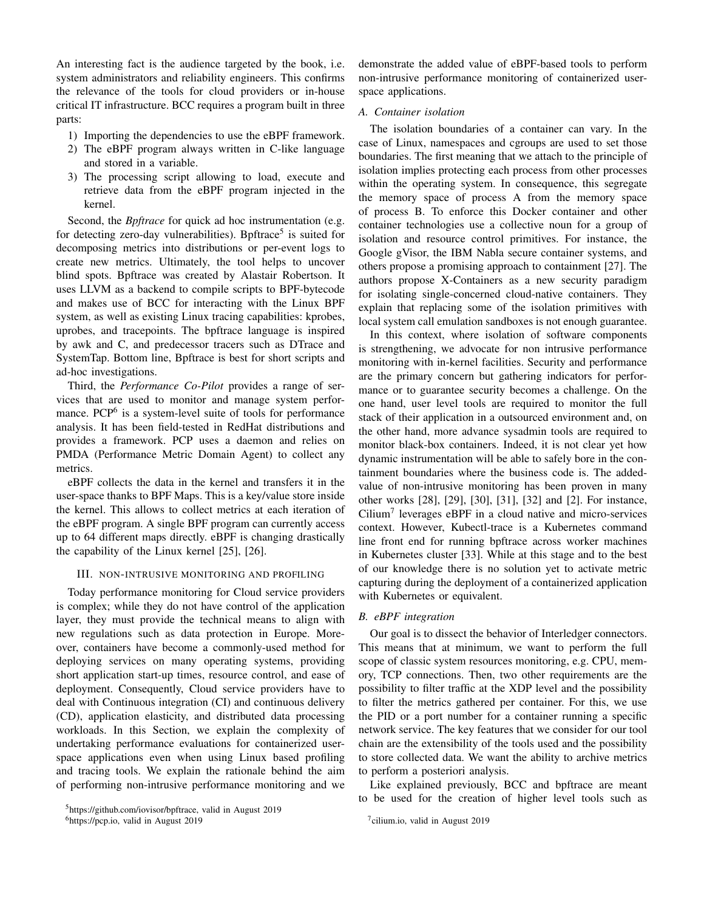An interesting fact is the audience targeted by the book, i.e. system administrators and reliability engineers. This confirms the relevance of the tools for cloud providers or in-house critical IT infrastructure. BCC requires a program built in three parts:

- 1) Importing the dependencies to use the eBPF framework.
- 2) The eBPF program always written in C-like language and stored in a variable.
- 3) The processing script allowing to load, execute and retrieve data from the eBPF program injected in the kernel.

Second, the *Bpftrace* for quick ad hoc instrumentation (e.g. for detecting zero-day vulnerabilities). Bpftrace<sup>5</sup> is suited for decomposing metrics into distributions or per-event logs to create new metrics. Ultimately, the tool helps to uncover blind spots. Bpftrace was created by Alastair Robertson. It uses LLVM as a backend to compile scripts to BPF-bytecode and makes use of BCC for interacting with the Linux BPF system, as well as existing Linux tracing capabilities: kprobes, uprobes, and tracepoints. The bpftrace language is inspired by awk and C, and predecessor tracers such as DTrace and SystemTap. Bottom line, Bpftrace is best for short scripts and ad-hoc investigations.

Third, the *Performance Co-Pilot* provides a range of services that are used to monitor and manage system performance. PCP<sup>6</sup> is a system-level suite of tools for performance analysis. It has been field-tested in RedHat distributions and provides a framework. PCP uses a daemon and relies on PMDA (Performance Metric Domain Agent) to collect any metrics.

eBPF collects the data in the kernel and transfers it in the user-space thanks to BPF Maps. This is a key/value store inside the kernel. This allows to collect metrics at each iteration of the eBPF program. A single BPF program can currently access up to 64 different maps directly. eBPF is changing drastically the capability of the Linux kernel [25], [26].

## III. NON-INTRUSIVE MONITORING AND PROFILING

Today performance monitoring for Cloud service providers is complex; while they do not have control of the application layer, they must provide the technical means to align with new regulations such as data protection in Europe. Moreover, containers have become a commonly-used method for deploying services on many operating systems, providing short application start-up times, resource control, and ease of deployment. Consequently, Cloud service providers have to deal with Continuous integration (CI) and continuous delivery (CD), application elasticity, and distributed data processing workloads. In this Section, we explain the complexity of undertaking performance evaluations for containerized userspace applications even when using Linux based profiling and tracing tools. We explain the rationale behind the aim of performing non-intrusive performance monitoring and we demonstrate the added value of eBPF-based tools to perform non-intrusive performance monitoring of containerized userspace applications.

## *A. Container isolation*

The isolation boundaries of a container can vary. In the case of Linux, namespaces and cgroups are used to set those boundaries. The first meaning that we attach to the principle of isolation implies protecting each process from other processes within the operating system. In consequence, this segregate the memory space of process A from the memory space of process B. To enforce this Docker container and other container technologies use a collective noun for a group of isolation and resource control primitives. For instance, the Google gVisor, the IBM Nabla secure container systems, and others propose a promising approach to containment [27]. The authors propose X-Containers as a new security paradigm for isolating single-concerned cloud-native containers. They explain that replacing some of the isolation primitives with local system call emulation sandboxes is not enough guarantee.

In this context, where isolation of software components is strengthening, we advocate for non intrusive performance monitoring with in-kernel facilities. Security and performance are the primary concern but gathering indicators for performance or to guarantee security becomes a challenge. On the one hand, user level tools are required to monitor the full stack of their application in a outsourced environment and, on the other hand, more advance sysadmin tools are required to monitor black-box containers. Indeed, it is not clear yet how dynamic instrumentation will be able to safely bore in the containment boundaries where the business code is. The addedvalue of non-intrusive monitoring has been proven in many other works [28], [29], [30], [31], [32] and [2]. For instance, Cilium<sup>7</sup> leverages eBPF in a cloud native and micro-services context. However, Kubectl-trace is a Kubernetes command line front end for running bpftrace across worker machines in Kubernetes cluster [33]. While at this stage and to the best of our knowledge there is no solution yet to activate metric capturing during the deployment of a containerized application with Kubernetes or equivalent.

## *B. eBPF integration*

Our goal is to dissect the behavior of Interledger connectors. This means that at minimum, we want to perform the full scope of classic system resources monitoring, e.g. CPU, memory, TCP connections. Then, two other requirements are the possibility to filter traffic at the XDP level and the possibility to filter the metrics gathered per container. For this, we use the PID or a port number for a container running a specific network service. The key features that we consider for our tool chain are the extensibility of the tools used and the possibility to store collected data. We want the ability to archive metrics to perform a posteriori analysis.

Like explained previously, BCC and bpftrace are meant to be used for the creation of higher level tools such as

<sup>5</sup>https://github.com/iovisor/bpftrace, valid in August 2019

<sup>6</sup>https://pcp.io, valid in August 2019

<sup>&</sup>lt;sup>7</sup>cilium.io, valid in August 2019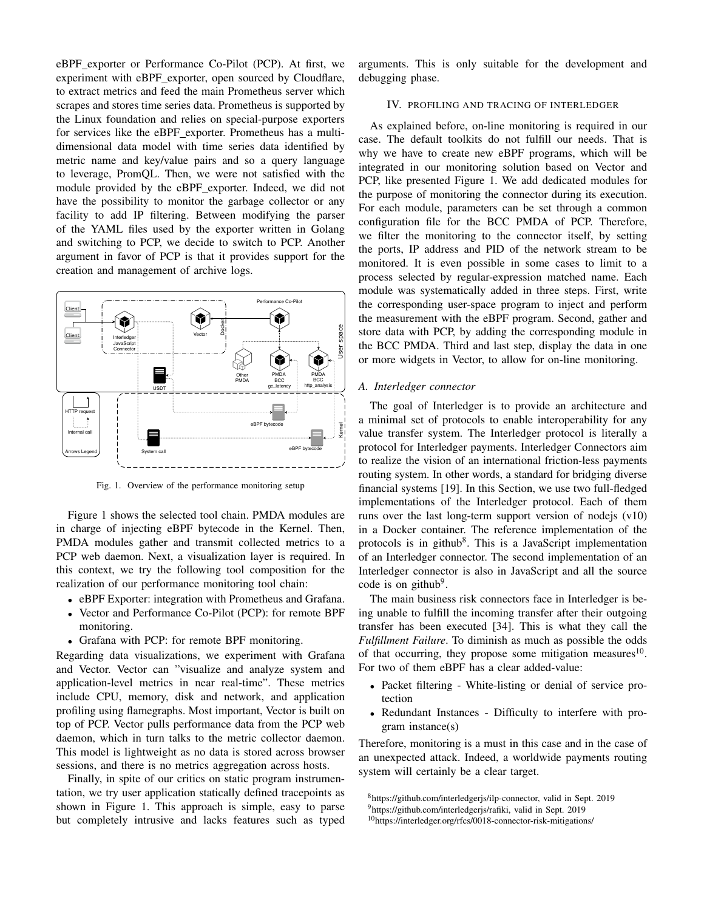eBPF exporter or Performance Co-Pilot (PCP). At first, we experiment with eBPF exporter, open sourced by Cloudflare, to extract metrics and feed the main Prometheus server which scrapes and stores time series data. Prometheus is supported by the Linux foundation and relies on special-purpose exporters for services like the eBPF exporter. Prometheus has a multidimensional data model with time series data identified by metric name and key/value pairs and so a query language to leverage, PromQL. Then, we were not satisfied with the module provided by the eBPF exporter. Indeed, we did not have the possibility to monitor the garbage collector or any facility to add IP filtering. Between modifying the parser of the YAML files used by the exporter written in Golang and switching to PCP, we decide to switch to PCP. Another argument in favor of PCP is that it provides support for the creation and management of archive logs.



Fig. 1. Overview of the performance monitoring setup

Figure 1 shows the selected tool chain. PMDA modules are in charge of injecting eBPF bytecode in the Kernel. Then, PMDA modules gather and transmit collected metrics to a PCP web daemon. Next, a visualization layer is required. In this context, we try the following tool composition for the realization of our performance monitoring tool chain:

- eBPF Exporter: integration with Prometheus and Grafana.
- Vector and Performance Co-Pilot (PCP): for remote BPF monitoring.
- Grafana with PCP: for remote BPF monitoring.

Regarding data visualizations, we experiment with Grafana and Vector. Vector can "visualize and analyze system and application-level metrics in near real-time". These metrics include CPU, memory, disk and network, and application profiling using flamegraphs. Most important, Vector is built on top of PCP. Vector pulls performance data from the PCP web daemon, which in turn talks to the metric collector daemon. This model is lightweight as no data is stored across browser sessions, and there is no metrics aggregation across hosts.

Finally, in spite of our critics on static program instrumentation, we try user application statically defined tracepoints as shown in Figure 1. This approach is simple, easy to parse but completely intrusive and lacks features such as typed arguments. This is only suitable for the development and debugging phase.

#### IV. PROFILING AND TRACING OF INTERLEDGER

As explained before, on-line monitoring is required in our case. The default toolkits do not fulfill our needs. That is why we have to create new eBPF programs, which will be integrated in our monitoring solution based on Vector and PCP, like presented Figure 1. We add dedicated modules for the purpose of monitoring the connector during its execution. For each module, parameters can be set through a common configuration file for the BCC PMDA of PCP. Therefore, we filter the monitoring to the connector itself, by setting the ports, IP address and PID of the network stream to be monitored. It is even possible in some cases to limit to a process selected by regular-expression matched name. Each module was systematically added in three steps. First, write the corresponding user-space program to inject and perform the measurement with the eBPF program. Second, gather and store data with PCP, by adding the corresponding module in the BCC PMDA. Third and last step, display the data in one or more widgets in Vector, to allow for on-line monitoring.

## *A. Interledger connector*

The goal of Interledger is to provide an architecture and a minimal set of protocols to enable interoperability for any value transfer system. The Interledger protocol is literally a protocol for Interledger payments. Interledger Connectors aim to realize the vision of an international friction-less payments routing system. In other words, a standard for bridging diverse financial systems [19]. In this Section, we use two full-fledged implementations of the Interledger protocol. Each of them runs over the last long-term support version of node s  $(v10)$ in a Docker container. The reference implementation of the protocols is in github<sup>8</sup>. This is a JavaScript implementation of an Interledger connector. The second implementation of an Interledger connector is also in JavaScript and all the source code is on github<sup>9</sup>.

The main business risk connectors face in Interledger is being unable to fulfill the incoming transfer after their outgoing transfer has been executed [34]. This is what they call the *Fulfillment Failure*. To diminish as much as possible the odds of that occurring, they propose some mitigation measures $^{10}$ . For two of them eBPF has a clear added-value:

- Packet filtering White-listing or denial of service protection
- Redundant Instances Difficulty to interfere with program instance(s)

Therefore, monitoring is a must in this case and in the case of an unexpected attack. Indeed, a worldwide payments routing system will certainly be a clear target.

<sup>8</sup>https://github.com/interledgerjs/ilp-connector, valid in Sept. 2019

<sup>9</sup>https://github.com/interledgerjs/rafiki, valid in Sept. 2019

<sup>10</sup>https://interledger.org/rfcs/0018-connector-risk-mitigations/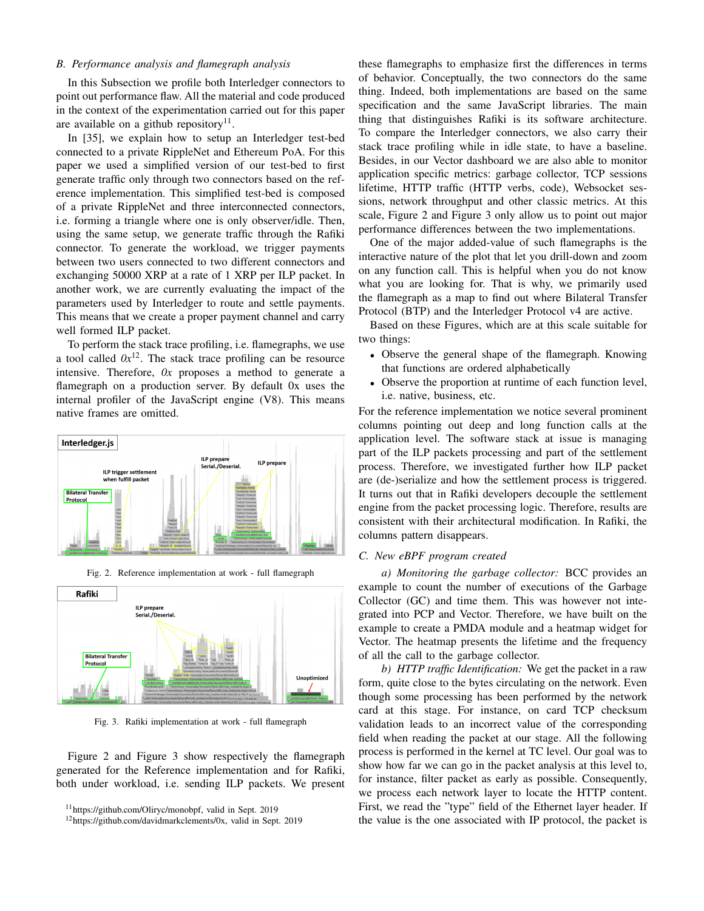## *B. Performance analysis and flamegraph analysis*

In this Subsection we profile both Interledger connectors to point out performance flaw. All the material and code produced in the context of the experimentation carried out for this paper are available on a github repository $11$ .

In [35], we explain how to setup an Interledger test-bed connected to a private RippleNet and Ethereum PoA. For this paper we used a simplified version of our test-bed to first generate traffic only through two connectors based on the reference implementation. This simplified test-bed is composed of a private RippleNet and three interconnected connectors, i.e. forming a triangle where one is only observer/idle. Then, using the same setup, we generate traffic through the Rafiki connector. To generate the workload, we trigger payments between two users connected to two different connectors and exchanging 50000 XRP at a rate of 1 XRP per ILP packet. In another work, we are currently evaluating the impact of the parameters used by Interledger to route and settle payments. This means that we create a proper payment channel and carry well formed ILP packet.

To perform the stack trace profiling, i.e. flamegraphs, we use a tool called  $0x^{12}$ . The stack trace profiling can be resource intensive. Therefore, *0x* proposes a method to generate a flamegraph on a production server. By default 0x uses the internal profiler of the JavaScript engine (V8). This means native frames are omitted.



Fig. 2. Reference implementation at work - full flamegraph



Fig. 3. Rafiki implementation at work - full flamegraph

Figure 2 and Figure 3 show respectively the flamegraph generated for the Reference implementation and for Rafiki, both under workload, i.e. sending ILP packets. We present these flamegraphs to emphasize first the differences in terms of behavior. Conceptually, the two connectors do the same thing. Indeed, both implementations are based on the same specification and the same JavaScript libraries. The main thing that distinguishes Rafiki is its software architecture. To compare the Interledger connectors, we also carry their stack trace profiling while in idle state, to have a baseline. Besides, in our Vector dashboard we are also able to monitor application specific metrics: garbage collector, TCP sessions lifetime, HTTP traffic (HTTP verbs, code), Websocket sessions, network throughput and other classic metrics. At this scale, Figure 2 and Figure 3 only allow us to point out major performance differences between the two implementations.

One of the major added-value of such flamegraphs is the interactive nature of the plot that let you drill-down and zoom on any function call. This is helpful when you do not know what you are looking for. That is why, we primarily used the flamegraph as a map to find out where Bilateral Transfer Protocol (BTP) and the Interledger Protocol v4 are active.

Based on these Figures, which are at this scale suitable for two things:

- Observe the general shape of the flamegraph. Knowing that functions are ordered alphabetically
- Observe the proportion at runtime of each function level, i.e. native, business, etc.

For the reference implementation we notice several prominent columns pointing out deep and long function calls at the application level. The software stack at issue is managing part of the ILP packets processing and part of the settlement process. Therefore, we investigated further how ILP packet are (de-)serialize and how the settlement process is triggered. It turns out that in Rafiki developers decouple the settlement engine from the packet processing logic. Therefore, results are consistent with their architectural modification. In Rafiki, the columns pattern disappears.

## *C. New eBPF program created*

*a) Monitoring the garbage collector:* BCC provides an example to count the number of executions of the Garbage Collector (GC) and time them. This was however not integrated into PCP and Vector. Therefore, we have built on the example to create a PMDA module and a heatmap widget for Vector. The heatmap presents the lifetime and the frequency of all the call to the garbage collector.

*b) HTTP traffic Identification:* We get the packet in a raw form, quite close to the bytes circulating on the network. Even though some processing has been performed by the network card at this stage. For instance, on card TCP checksum validation leads to an incorrect value of the corresponding field when reading the packet at our stage. All the following process is performed in the kernel at TC level. Our goal was to show how far we can go in the packet analysis at this level to, for instance, filter packet as early as possible. Consequently, we process each network layer to locate the HTTP content. First, we read the "type" field of the Ethernet layer header. If the value is the one associated with IP protocol, the packet is

<sup>11</sup>https://github.com/Oliryc/monobpf, valid in Sept. 2019

<sup>12</sup>https://github.com/davidmarkclements/0x, valid in Sept. 2019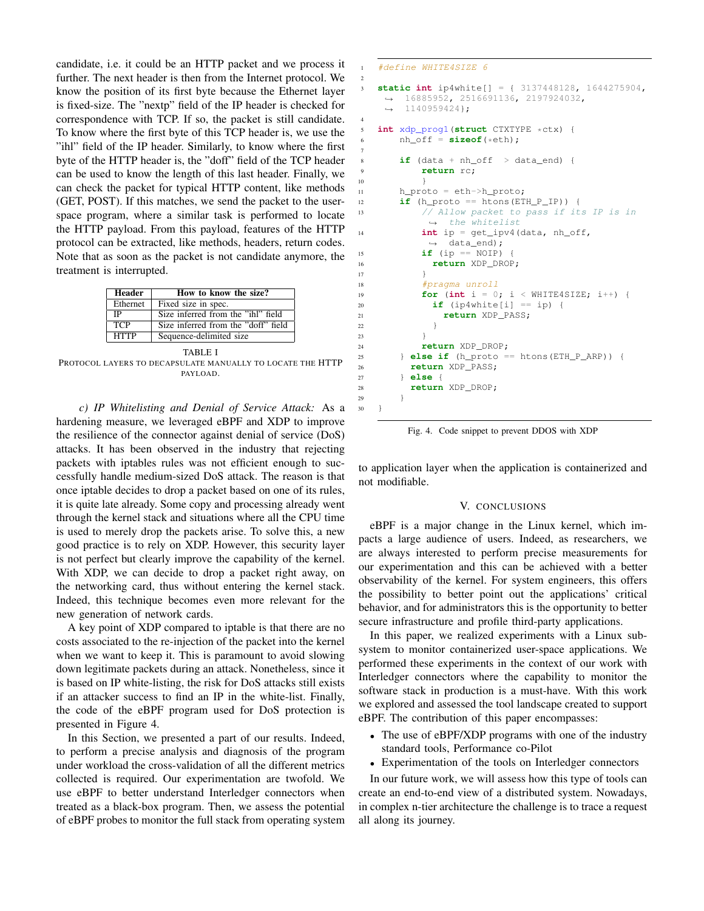candidate, i.e. it could be an HTTP packet and we process it further. The next header is then from the Internet protocol. We know the position of its first byte because the Ethernet layer is fixed-size. The "nextp" field of the IP header is checked for correspondence with TCP. If so, the packet is still candidate. To know where the first byte of this TCP header is, we use the "ihl" field of the IP header. Similarly, to know where the first byte of the HTTP header is, the "doff" field of the TCP header can be used to know the length of this last header. Finally, we can check the packet for typical HTTP content, like methods (GET, POST). If this matches, we send the packet to the userspace program, where a similar task is performed to locate the HTTP payload. From this payload, features of the HTTP protocol can be extracted, like methods, headers, return codes. Note that as soon as the packet is not candidate anymore, the treatment is interrupted.

| <b>Header</b> | How to know the size?               |
|---------------|-------------------------------------|
| Ethernet      | Fixed size in spec.                 |
| <b>IP</b>     | Size inferred from the "ihl" field  |
| <b>TCP</b>    | Size inferred from the "doff" field |
| <b>HTTP</b>   | Sequence-delimited size             |
| TARLE I       |                                     |

PROTOCOL LAYERS TO DECAPSULATE MANUALLY TO LOCATE THE HTTP PAYLOAD.

*c) IP Whitelisting and Denial of Service Attack:* As a hardening measure, we leveraged eBPF and XDP to improve the resilience of the connector against denial of service (DoS) attacks. It has been observed in the industry that rejecting packets with iptables rules was not efficient enough to successfully handle medium-sized DoS attack. The reason is that once iptable decides to drop a packet based on one of its rules, it is quite late already. Some copy and processing already went through the kernel stack and situations where all the CPU time is used to merely drop the packets arise. To solve this, a new good practice is to rely on XDP. However, this security layer is not perfect but clearly improve the capability of the kernel. With XDP, we can decide to drop a packet right away, on the networking card, thus without entering the kernel stack. Indeed, this technique becomes even more relevant for the new generation of network cards.

A key point of XDP compared to iptable is that there are no costs associated to the re-injection of the packet into the kernel when we want to keep it. This is paramount to avoid slowing down legitimate packets during an attack. Nonetheless, since it is based on IP white-listing, the risk for DoS attacks still exists if an attacker success to find an IP in the white-list. Finally, the code of the eBPF program used for DoS protection is presented in Figure 4.

In this Section, we presented a part of our results. Indeed, to perform a precise analysis and diagnosis of the program under workload the cross-validation of all the different metrics collected is required. Our experimentation are twofold. We use eBPF to better understand Interledger connectors when treated as a black-box program. Then, we assess the potential of eBPF probes to monitor the full stack from operating system

```
1 #define WHITE4SIZE 6
3 static int ip4white[] = { 3137448128, 1644275904,
    \rightarrow 16885952, 2516691136, 2197924032,
       1140959424};
    \mapsto5 int xdp_prog1(struct CTXTYPE *ctx) {<br>6 hh_off = sizeof(*eth);
      nh\_off = sizeof(*eth);if (data + nh_of \gt data_en)9 return rc;
10 }
11 h_proto = eth->h_proto;
12 if (h_proto == htons(ETH_P_IP)) {
13 // Allow packet to pass if its IP is in
           \leftrightarrow the whitelist
14 int ip = get_ipv4(data, nh_off,
           ,→ data_end);
15 if (ip == NOIP) {
16 return XDP_DROP;
17 }
18 #pragma unroll
19 for (int i = 0; i < WHITE4SIZE; i++) {
20 if (ip4white[i] == ip) {
21 return XDP_PASS;
22 }
23 }
24 return XDP_DROP;
25 } else if (h_proto == htons(ETH_P_ARP)) {
26 return XDP_PASS;
27 } else {
28 return XDP_DROP;
29 }
30 }
```
2

4

7

Fig. 4. Code snippet to prevent DDOS with XDP

to application layer when the application is containerized and not modifiable.

#### V. CONCLUSIONS

eBPF is a major change in the Linux kernel, which impacts a large audience of users. Indeed, as researchers, we are always interested to perform precise measurements for our experimentation and this can be achieved with a better observability of the kernel. For system engineers, this offers the possibility to better point out the applications' critical behavior, and for administrators this is the opportunity to better secure infrastructure and profile third-party applications.

In this paper, we realized experiments with a Linux subsystem to monitor containerized user-space applications. We performed these experiments in the context of our work with Interledger connectors where the capability to monitor the software stack in production is a must-have. With this work we explored and assessed the tool landscape created to support eBPF. The contribution of this paper encompasses:

- The use of eBPF/XDP programs with one of the industry standard tools, Performance co-Pilot
- Experimentation of the tools on Interledger connectors

In our future work, we will assess how this type of tools can create an end-to-end view of a distributed system. Nowadays, in complex n-tier architecture the challenge is to trace a request all along its journey.